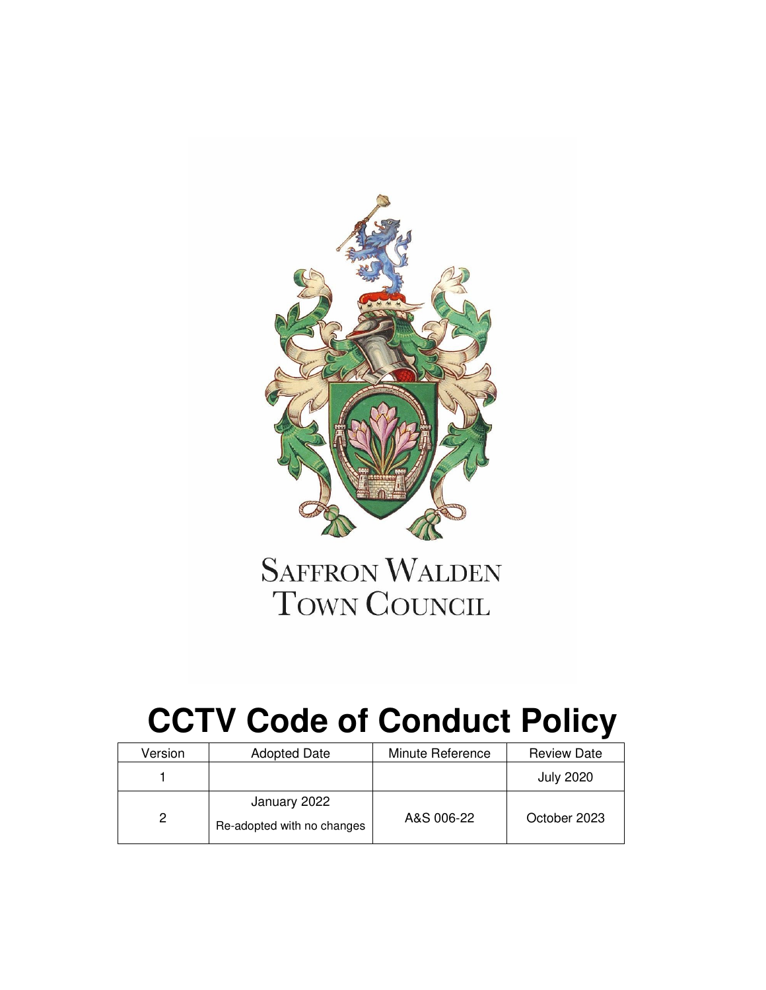

## **SAFFRON WALDEN** TOWN COUNCIL

# **CCTV Code of Conduct Policy**

| Version | <b>Adopted Date</b>                        | Minute Reference | <b>Review Date</b> |
|---------|--------------------------------------------|------------------|--------------------|
|         |                                            |                  | <b>July 2020</b>   |
| 2       | January 2022<br>Re-adopted with no changes | A&S 006-22       | October 2023       |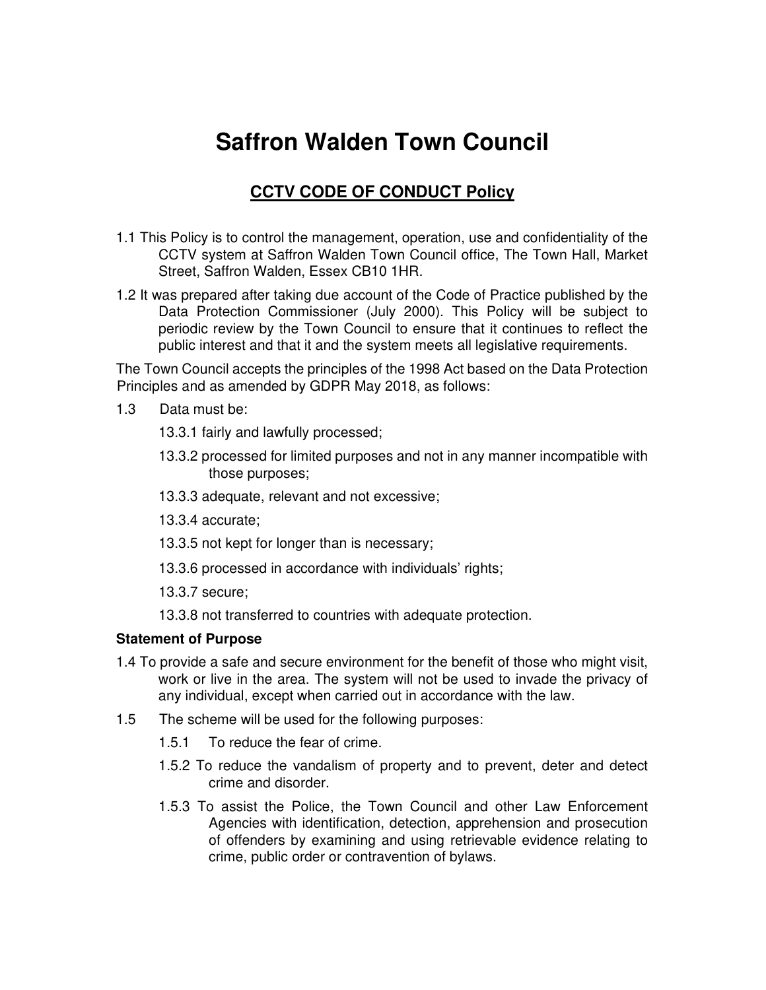### **Saffron Walden Town Council**

#### **CCTV CODE OF CONDUCT Policy**

- 1.1 This Policy is to control the management, operation, use and confidentiality of the CCTV system at Saffron Walden Town Council office, The Town Hall, Market Street, Saffron Walden, Essex CB10 1HR.
- 1.2 It was prepared after taking due account of the Code of Practice published by the Data Protection Commissioner (July 2000). This Policy will be subject to periodic review by the Town Council to ensure that it continues to reflect the public interest and that it and the system meets all legislative requirements.

The Town Council accepts the principles of the 1998 Act based on the Data Protection Principles and as amended by GDPR May 2018, as follows:

- 1.3 Data must be:
	- 13.3.1 fairly and lawfully processed;
	- 13.3.2 processed for limited purposes and not in any manner incompatible with those purposes;
	- 13.3.3 adequate, relevant and not excessive;
	- 13.3.4 accurate;
	- 13.3.5 not kept for longer than is necessary;
	- 13.3.6 processed in accordance with individuals' rights;
	- 13.3.7 secure;
	- 13.3.8 not transferred to countries with adequate protection.

#### **Statement of Purpose**

- 1.4 To provide a safe and secure environment for the benefit of those who might visit, work or live in the area. The system will not be used to invade the privacy of any individual, except when carried out in accordance with the law.
- 1.5 The scheme will be used for the following purposes:
	- 1.5.1 To reduce the fear of crime.
	- 1.5.2 To reduce the vandalism of property and to prevent, deter and detect crime and disorder.
	- 1.5.3 To assist the Police, the Town Council and other Law Enforcement Agencies with identification, detection, apprehension and prosecution of offenders by examining and using retrievable evidence relating to crime, public order or contravention of bylaws.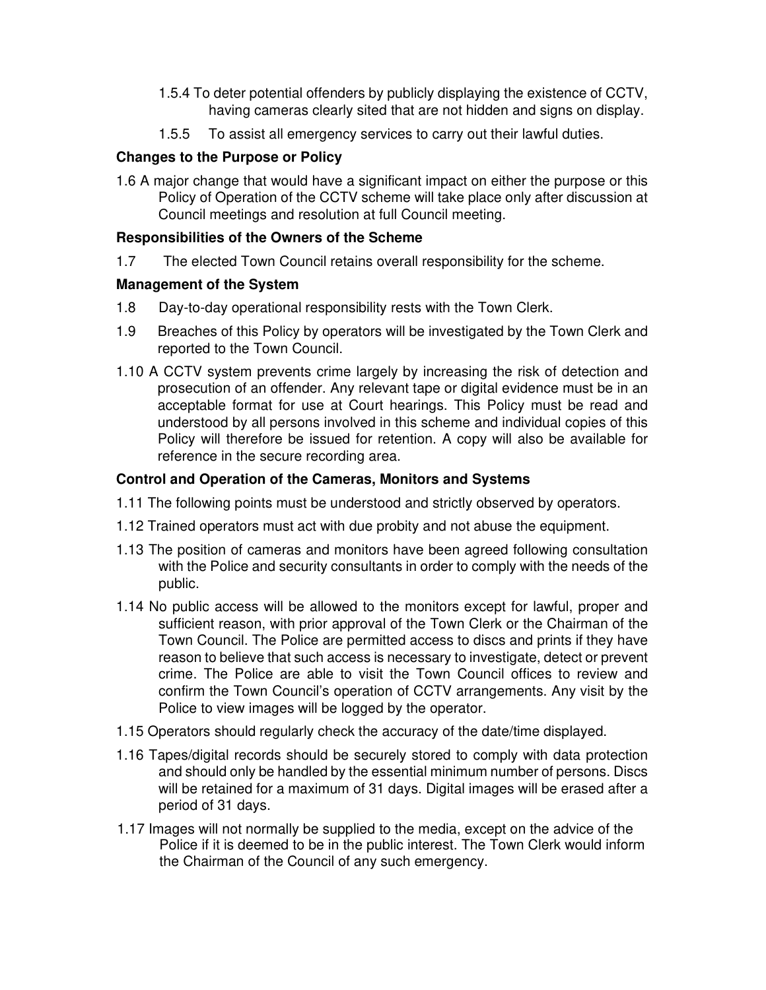- 1.5.4 To deter potential offenders by publicly displaying the existence of CCTV, having cameras clearly sited that are not hidden and signs on display.
- 1.5.5 To assist all emergency services to carry out their lawful duties.

#### **Changes to the Purpose or Policy**

1.6 A major change that would have a significant impact on either the purpose or this Policy of Operation of the CCTV scheme will take place only after discussion at Council meetings and resolution at full Council meeting.

#### **Responsibilities of the Owners of the Scheme**

1.7 The elected Town Council retains overall responsibility for the scheme.

#### **Management of the System**

- 1.8 Day-to-day operational responsibility rests with the Town Clerk.
- 1.9 Breaches of this Policy by operators will be investigated by the Town Clerk and reported to the Town Council.
- 1.10 A CCTV system prevents crime largely by increasing the risk of detection and prosecution of an offender. Any relevant tape or digital evidence must be in an acceptable format for use at Court hearings. This Policy must be read and understood by all persons involved in this scheme and individual copies of this Policy will therefore be issued for retention. A copy will also be available for reference in the secure recording area.

#### **Control and Operation of the Cameras, Monitors and Systems**

- 1.11 The following points must be understood and strictly observed by operators.
- 1.12 Trained operators must act with due probity and not abuse the equipment.
- 1.13 The position of cameras and monitors have been agreed following consultation with the Police and security consultants in order to comply with the needs of the public.
- 1.14 No public access will be allowed to the monitors except for lawful, proper and sufficient reason, with prior approval of the Town Clerk or the Chairman of the Town Council. The Police are permitted access to discs and prints if they have reason to believe that such access is necessary to investigate, detect or prevent crime. The Police are able to visit the Town Council offices to review and confirm the Town Council's operation of CCTV arrangements. Any visit by the Police to view images will be logged by the operator.
- 1.15 Operators should regularly check the accuracy of the date/time displayed.
- 1.16 Tapes/digital records should be securely stored to comply with data protection and should only be handled by the essential minimum number of persons. Discs will be retained for a maximum of 31 days. Digital images will be erased after a period of 31 days.
- 1.17 Images will not normally be supplied to the media, except on the advice of the Police if it is deemed to be in the public interest. The Town Clerk would inform the Chairman of the Council of any such emergency.